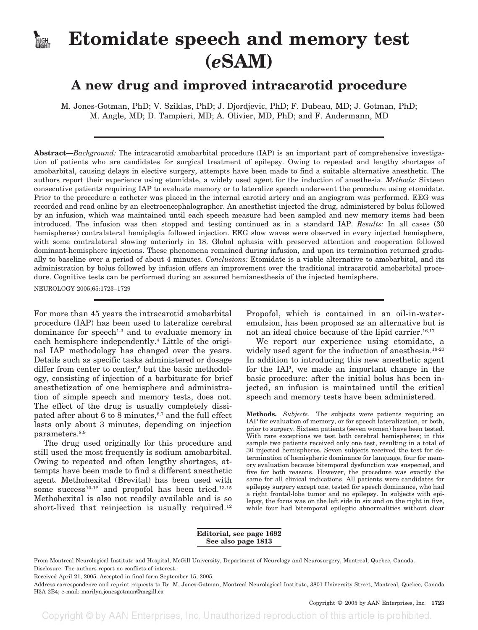# **Etomidate speech and memory test HIGH (***e***SAM)**

# **A new drug and improved intracarotid procedure**

M. Jones-Gotman, PhD; V. Sziklas, PhD; J. Djordjevic, PhD; F. Dubeau, MD; J. Gotman, PhD; M. Angle, MD; D. Tampieri, MD; A. Olivier, MD, PhD; and F. Andermann, MD

**Abstract—***Background:* The intracarotid amobarbital procedure (IAP) is an important part of comprehensive investigation of patients who are candidates for surgical treatment of epilepsy. Owing to repeated and lengthy shortages of amobarbital, causing delays in elective surgery, attempts have been made to find a suitable alternative anesthetic. The authors report their experience using etomidate, a widely used agent for the induction of anesthesia. *Methods:* Sixteen consecutive patients requiring IAP to evaluate memory or to lateralize speech underwent the procedure using etomidate. Prior to the procedure a catheter was placed in the internal carotid artery and an angiogram was performed. EEG was recorded and read online by an electroencephalographer. An anesthetist injected the drug, administered by bolus followed by an infusion, which was maintained until each speech measure had been sampled and new memory items had been introduced. The infusion was then stopped and testing continued as in a standard IAP. *Results:* In all cases (30 hemispheres) contralateral hemiplegia followed injection. EEG slow waves were observed in every injected hemisphere, with some contralateral slowing anteriorly in 18. Global aphasia with preserved attention and cooperation followed dominant-hemisphere injections. These phenomena remained during infusion, and upon its termination returned gradually to baseline over a period of about 4 minutes. *Conclusions:* Etomidate is a viable alternative to amobarbital, and its administration by bolus followed by infusion offers an improvement over the traditional intracarotid amobarbital procedure. Cognitive tests can be performed during an assured hemianesthesia of the injected hemisphere.

NEUROLOGY 2005;65:1723–1729

For more than 45 years the intracarotid amobarbital procedure (IAP) has been used to lateralize cerebral dominance for speech<sup>1-3</sup> and to evaluate memory in each hemisphere independently.4 Little of the original IAP methodology has changed over the years. Details such as specific tasks administered or dosage differ from center to center,<sup>5</sup> but the basic methodology, consisting of injection of a barbiturate for brief anesthetization of one hemisphere and administration of simple speech and memory tests, does not. The effect of the drug is usually completely dissipated after about 6 to 8 minutes, $6,7$  and the full effect lasts only about 3 minutes, depending on injection parameters.<sup>8,9</sup>

The drug used originally for this procedure and still used the most frequently is sodium amobarbital. Owing to repeated and often lengthy shortages, attempts have been made to find a different anesthetic agent. Methohexital (Brevital) has been used with some success<sup>10-12</sup> and propofol has been tried.<sup>13-15</sup> Methohexital is also not readily available and is so short-lived that reinjection is usually required.<sup>12</sup>

Propofol, which is contained in an oil-in-wateremulsion, has been proposed as an alternative but is not an ideal choice because of the lipid carrier.<sup>16,17</sup>

We report our experience using etomidate, a widely used agent for the induction of anesthesia.<sup>18-20</sup> In addition to introducing this new anesthetic agent for the IAP, we made an important change in the basic procedure: after the initial bolus has been injected, an infusion is maintained until the critical speech and memory tests have been administered.

**Methods.** *Subjects.* The subjects were patients requiring an IAP for evaluation of memory, or for speech lateralization, or both, prior to surgery. Sixteen patients (seven women) have been tested. With rare exceptions we test both cerebral hemispheres; in this sample two patients received only one test, resulting in a total of 30 injected hemispheres. Seven subjects received the test for determination of hemispheric dominance for language, four for memory evaluation because bitemporal dysfunction was suspected, and five for both reasons. However, the procedure was exactly the same for all clinical indications. All patients were candidates for epilepsy surgery except one, tested for speech dominance, who had a right frontal-lobe tumor and no epilepsy. In subjects with epilepsy, the focus was on the left side in six and on the right in five, while four had bitemporal epileptic abnormalities without clear

## **Editorial, see page 1692 See also page 1813**

From Montreal Neurological Institute and Hospital, McGill University, Department of Neurology and Neurosurgery, Montreal, Quebec, Canada. Disclosure: The authors report no conflicts of interest.

Received April 21, 2005. Accepted in final form September 15, 2005.

Address correspondence and reprint requests to Dr. M. Jones-Gotman, Montreal Neurological Institute, 3801 University Street, Montreal, Quebec, Canada H3A 2B4; e-mail: marilyn.jonesgotman@mcgill.ca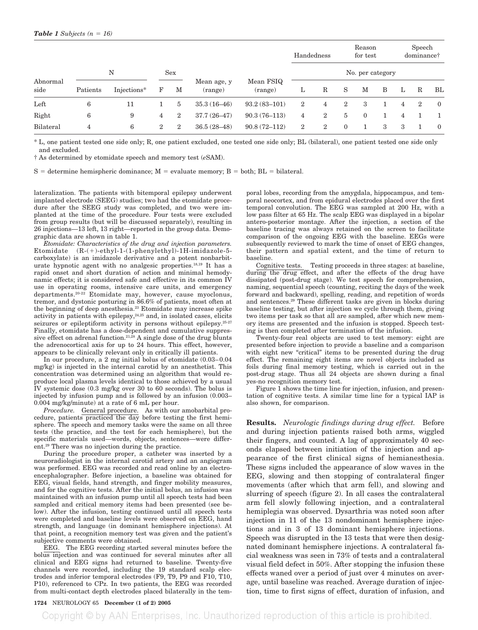|                  |          |             |              |                |                        |                      | Handedness       |              | Reason<br>for test |          | Speech<br>dominance <sup>+</sup> |                |                |                |
|------------------|----------|-------------|--------------|----------------|------------------------|----------------------|------------------|--------------|--------------------|----------|----------------------------------|----------------|----------------|----------------|
| N                |          |             | <b>Sex</b>   |                |                        |                      | No. per category |              |                    |          |                                  |                |                |                |
| Abnormal<br>side | Patients | Injections* | F            | М              | Mean age, y<br>(range) | Mean FSIQ<br>(range) | L                | R            | S                  | М        | B                                | L              | R              | BL             |
| Left             | 6        | 11          |              | 5              | $35.3(16-46)$          | $93.2(83 - 101)$     | 2                | 4            | 2                  | 3        |                                  | 4              | $\overline{2}$ | $\overline{0}$ |
| Right            | 6        | 9           | 4            | $\overline{2}$ | $37.7(26 - 47)$        | $90.3(76 - 113)$     | 4                | $\mathbf{2}$ | 5                  | $\Omega$ |                                  | $\overline{4}$ |                |                |
| Bilateral        | 4        | 6           | $\mathbf{2}$ | $\overline{2}$ | $36.5(28 - 48)$        | $90.8(72 - 112)$     | $\overline{2}$   | $\mathbf{2}$ | $\Omega$           |          | 3                                | 3              |                | $\Omega$       |

\* L, one patient tested one side only; R, one patient excluded, one tested one side only; BL (bilateral), one patient tested one side only and excluded.

† As determined by etomidate speech and memory test (*e*SAM).

 $S =$  determine hemispheric dominance;  $M =$  evaluate memory;  $B =$  both;  $BL =$  bilateral.

lateralization. The patients with bitemporal epilepsy underwent implanted electrode (SEEG) studies; two had the etomidate procedure after the SEEG study was completed, and two were implanted at the time of the procedure. Four tests were excluded from group results (but will be discussed separately), resulting in 26 injections—13 left, 13 right—reported in the group data. Demographic data are shown in table 1.

*Etomidate: Characteristics of the drug and injection parameters.* Etomidate  $(R-(+) - ethyl-1-(1-phenylethyl)-1H-imidazole-5$ carboxylate) is an imidazole derivative and a potent nonbarbiturate hypnotic agent with no analgesic properties.18,19 It has a rapid onset and short duration of action and minimal hemodynamic effects; it is considered safe and effective in its common IV use in operating rooms, intensive care units, and emergency departments.20-22 Etomidate may, however, cause myoclonus, tremor, and dystonic posturing in 86.6% of patients, most often at the beginning of deep anesthesia.23 Etomidate may increase spike activity in patients with epilepsy, $24,25$  and, in isolated cases, elicits seizures or epileptiform activity in persons without epilepsy.<sup>25-27</sup> Finally, etomidate has a dose-dependent and cumulative suppressive effect on adrenal function.<sup>21,28</sup> A single dose of the drug blunts the adrenocortical axis for up to 24 hours. This effect, however, appears to be clinically relevant only in critically ill patients.

In our procedure, a 2 mg initial bolus of etomidate (0.03-0.04) mg/kg) is injected in the internal carotid by an anesthetist. This concentration was determined using an algorithm that would reproduce local plasma levels identical to those achieved by a usual IV systemic dose (0.3 mg/kg over 30 to 60 seconds). The bolus is injected by infusion pump and is followed by an infusion (0.003– 0.004 mg/kg/minute) at a rate of 6 mL per hour.

*Procedure.* General procedure. As with our amobarbital procedure, patients practiced the day before testing the first hemisphere. The speech and memory tasks were the same on all three tests (the practice, and the test for each hemisphere), but the specific materials used—words, objects, sentences—were different.29 There was no injection during the practice.

During the procedure proper, a catheter was inserted by a neuroradiologist in the internal carotid artery and an angiogram was performed. EEG was recorded and read online by an electroencephalographer. Before injection, a baseline was obtained for EEG, visual fields, hand strength, and finger mobility measures, and for the cognitive tests. After the initial bolus, an infusion was maintained with an infusion pump until all speech tests had been sampled and critical memory items had been presented (see below). After the infusion, testing continued until all speech tests were completed and baseline levels were observed on EEG, hand strength, and language (in dominant hemisphere injections). At that point, a recognition memory test was given and the patient's subjective comments were obtained.

EEG. The EEG recording started several minutes before the bolus injection and was continued for several minutes after all clinical and EEG signs had returned to baseline. Twenty-five channels were recorded, including the 19 standard scalp electrodes and inferior temporal electrodes (F9, T9, P9 and F10, T10, P10), referenced to CPz. In two patients, the EEG was recorded from multi-contact depth electrodes placed bilaterally in the tem-

poral lobes, recording from the amygdala, hippocampus, and temporal neocortex, and from epidural electrodes placed over the first temporal convolution. The EEG was sampled at 200 Hz, with a low pass filter at 65 Hz. The scalp EEG was displayed in a bipolar antero-posterior montage. After the injection, a section of the baseline tracing was always retained on the screen to facilitate comparison of the ongoing EEG with the baseline. EEGs were subsequently reviewed to mark the time of onset of EEG changes, their pattern and spatial extent, and the time of return to baseline.

Cognitive tests. Testing proceeds in three stages: at baseline, during the drug effect, and after the effects of the drug have dissipated (post-drug stage). We test speech for comprehension, naming, sequential speech (counting, reciting the days of the week forward and backward), spelling, reading, and repetition of words and sentences.29 These different tasks are given in blocks during baseline testing, but after injection we cycle through them, giving two items per task so that all are sampled, after which new memory items are presented and the infusion is stopped. Speech testing is then completed after termination of the infusion.

Twenty-four real objects are used to test memory: eight are presented before injection to provide a baseline and a comparison with eight new "critical" items to be presented during the drug effect. The remaining eight items are novel objects included as foils during final memory testing, which is carried out in the post-drug stage. Thus all 24 objects are shown during a final yes-no recognition memory test.

Figure 1 shows the time line for injection, infusion, and presentation of cognitive tests. A similar time line for a typical IAP is also shown, for comparison.

**Results.** *Neurologic findings during drug effect.* Before and during injection patients raised both arms, wiggled their fingers, and counted. A lag of approximately 40 seconds elapsed between initiation of the injection and appearance of the first clinical signs of hemianesthesia. These signs included the appearance of slow waves in the EEG, slowing and then stopping of contralateral finger movements (after which that arm fell), and slowing and slurring of speech (figure 2). In all cases the contralateral arm fell slowly following injection, and a contralateral hemiplegia was observed. Dysarthria was noted soon after injection in 11 of the 13 nondominant hemisphere injections and in 3 of 13 dominant hemisphere injections. Speech was disrupted in the 13 tests that were then designated dominant hemisphere injections. A contralateral facial weakness was seen in 73% of tests and a contralateral visual field defect in 50%. After stopping the infusion these effects waned over a period of just over 4 minutes on average, until baseline was reached. Average duration of injection, time to first signs of effect, duration of infusion, and

## **1724** NEUROLOGY 65 **December (1 of 2) 2005**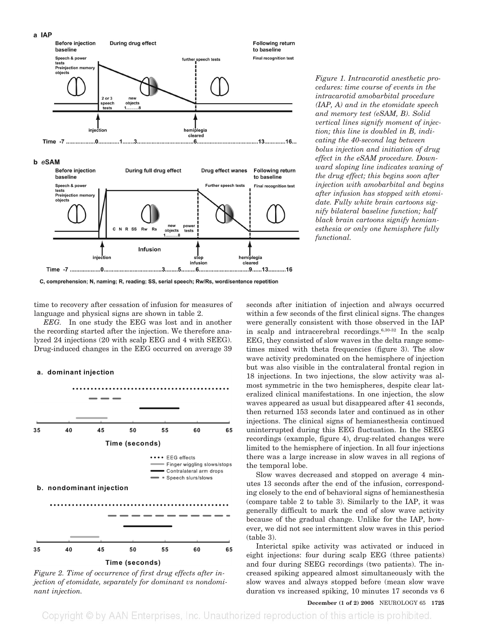



b eSAM



*Figure 1. Intracarotid anesthetic procedures: time course of events in the intracarotid amobarbital procedure (IAP, A) and in the etomidate speech and memory test (eSAM, B). Solid vertical lines signify moment of injection; this line is doubled in B, indicating the 40-second lag between bolus injection and initiation of drug effect in the eSAM procedure. Downward sloping line indicates waning of the drug effect; this begins soon after injection with amobarbital and begins after infusion has stopped with etomidate. Fully white brain cartoons signify bilateral baseline function; half black brain cartoons signify hemianesthesia or only one hemisphere fully functional.*

C, comprehension; N, naming; R, reading; SS, serial speech; Rw/Rs, word/sentence repetition

time to recovery after cessation of infusion for measures of language and physical signs are shown in table 2.

*EEG.* In one study the EEG was lost and in another the recording started after the injection. We therefore analyzed 24 injections (20 with scalp EEG and 4 with SEEG). Drug-induced changes in the EEG occurred on average 39

#### a. dominant injection



*Figure 2. Time of occurrence of first drug effects after injection of etomidate, separately for dominant vs nondominant injection.*

seconds after initiation of injection and always occurred within a few seconds of the first clinical signs. The changes were generally consistent with those observed in the IAP in scalp and intracerebral recordings.6,30-32 In the scalp EEG, they consisted of slow waves in the delta range sometimes mixed with theta frequencies (figure 3). The slow wave activity predominated on the hemisphere of injection but was also visible in the contralateral frontal region in 18 injections. In two injections, the slow activity was almost symmetric in the two hemispheres, despite clear lateralized clinical manifestations. In one injection, the slow waves appeared as usual but disappeared after 41 seconds, then returned 153 seconds later and continued as in other injections. The clinical signs of hemianesthesia continued uninterrupted during this EEG fluctuation. In the SEEG recordings (example, figure 4), drug-related changes were limited to the hemisphere of injection. In all four injections there was a large increase in slow waves in all regions of the temporal lobe.

Slow waves decreased and stopped on average 4 minutes 13 seconds after the end of the infusion, corresponding closely to the end of behavioral signs of hemianesthesia (compare table 2 to table 3). Similarly to the IAP, it was generally difficult to mark the end of slow wave activity because of the gradual change. Unlike for the IAP, however, we did not see intermittent slow waves in this period (table 3).

Interictal spike activity was activated or induced in eight injections: four during scalp EEG (three patients) and four during SEEG recordings (two patients). The increased spiking appeared almost simultaneously with the slow waves and always stopped before (mean slow wave duration vs increased spiking, 10 minutes 17 seconds vs 6

### **December (1 of 2) 2005** NEUROLOGY 65 **1725**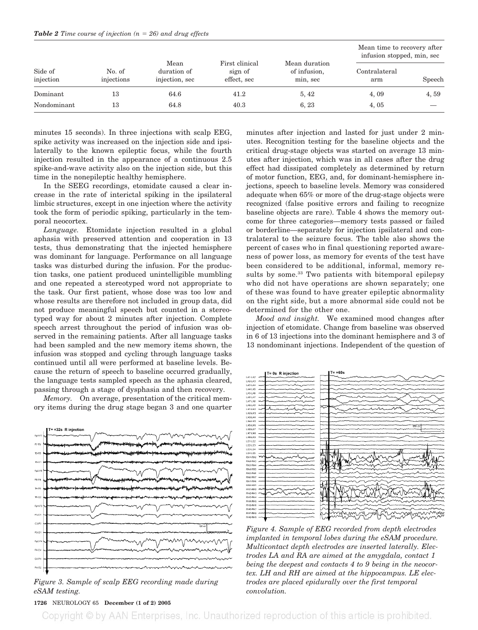|                      |                      | Mean<br>duration of<br>injection, sec |                                          |                                           | Mean time to recovery after<br>infusion stopped, min, sec |        |  |
|----------------------|----------------------|---------------------------------------|------------------------------------------|-------------------------------------------|-----------------------------------------------------------|--------|--|
| Side of<br>injection | No. of<br>injections |                                       | First clinical<br>sign of<br>effect, sec | Mean duration<br>of infusion,<br>min, sec | Contralateral<br>arm                                      | Speech |  |
| Dominant             | 13                   | 64.6                                  | 41.2                                     | 5, 42                                     | 4,09                                                      | 4,59   |  |
| Nondominant          | 13                   | 64.8                                  | 40.3                                     | 6, 23                                     | 4,05                                                      |        |  |

minutes 15 seconds). In three injections with scalp EEG, spike activity was increased on the injection side and ipsilaterally to the known epileptic focus, while the fourth injection resulted in the appearance of a continuous 2.5 spike-and-wave activity also on the injection side, but this time in the nonepileptic healthy hemisphere.

In the SEEG recordings, etomidate caused a clear increase in the rate of interictal spiking in the ipsilateral limbic structures, except in one injection where the activity took the form of periodic spiking, particularly in the temporal neocortex.

*Language.* Etomidate injection resulted in a global aphasia with preserved attention and cooperation in 13 tests, thus demonstrating that the injected hemisphere was dominant for language. Performance on all language tasks was disturbed during the infusion. For the production tasks, one patient produced unintelligible mumbling and one repeated a stereotyped word not appropriate to the task. Our first patient, whose dose was too low and whose results are therefore not included in group data, did not produce meaningful speech but counted in a stereotyped way for about 2 minutes after injection. Complete speech arrest throughout the period of infusion was observed in the remaining patients. After all language tasks had been sampled and the new memory items shown, the infusion was stopped and cycling through language tasks continued until all were performed at baseline levels. Because the return of speech to baseline occurred gradually, the language tests sampled speech as the aphasia cleared, passing through a stage of dysphasia and then recovery.

*Memory.* On average, presentation of the critical memory items during the drug stage began 3 and one quarter



*Figure 3. Sample of scalp EEG recording made during eSAM testing.*

minutes after injection and lasted for just under 2 minutes. Recognition testing for the baseline objects and the critical drug-stage objects was started on average 13 minutes after injection, which was in all cases after the drug effect had dissipated completely as determined by return of motor function, EEG, and, for dominant-hemisphere injections, speech to baseline levels. Memory was considered adequate when 65% or more of the drug-stage objects were recognized (false positive errors and failing to recognize baseline objects are rare). Table 4 shows the memory outcome for three categories—memory tests passed or failed or borderline—separately for injection ipsilateral and contralateral to the seizure focus. The table also shows the percent of cases who in final questioning reported awareness of power loss, as memory for events of the test have been considered to be additional, informal, memory results by some.33 Two patients with bitemporal epilepsy who did not have operations are shown separately; one of these was found to have greater epileptic abnormality on the right side, but a more abnormal side could not be determined for the other one.

*Mood and insight.* We examined mood changes after injection of etomidate. Change from baseline was observed in 6 of 13 injections into the dominant hemisphere and 3 of 13 nondominant injections. Independent of the question of



*Figure 4. Sample of EEG recorded from depth electrodes implanted in temporal lobes during the eSAM procedure. Multicontact depth electrodes are inserted laterally. Electrodes LA and RA are aimed at the amygdala, contact 1 being the deepest and contacts 4 to 9 being in the neocortex. LH and RH are aimed at the hippocampus. LE electrodes are placed epidurally over the first temporal convolution.*

# **1726** NEUROLOGY 65 **December (1 of 2) 2005**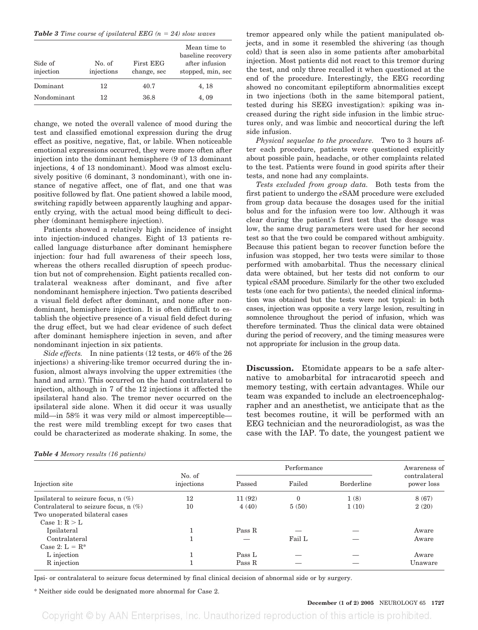**Table 3** Time course of ipsilateral EEG (n = 24) slow waves

| Side of<br>injection | No. of<br>injections | First EEG<br>change, sec | Mean time to<br>baseline recovery<br>after infusion<br>stopped, min, sec |
|----------------------|----------------------|--------------------------|--------------------------------------------------------------------------|
| Dominant             | 12                   | 40.7                     | 4, 18                                                                    |
| Nondominant          | 12                   | 36.8                     | 4,09                                                                     |

change, we noted the overall valence of mood during the test and classified emotional expression during the drug effect as positive, negative, flat, or labile. When noticeable emotional expressions occurred, they were more often after injection into the dominant hemisphere (9 of 13 dominant injections, 4 of 13 nondominant). Mood was almost exclusively positive (6 dominant, 3 nondominant), with one instance of negative affect, one of flat, and one that was positive followed by flat. One patient showed a labile mood, switching rapidly between apparently laughing and apparently crying, with the actual mood being difficult to decipher (dominant hemisphere injection).

Patients showed a relatively high incidence of insight into injection-induced changes. Eight of 13 patients recalled language disturbance after dominant hemisphere injection: four had full awareness of their speech loss, whereas the others recalled disruption of speech production but not of comprehension. Eight patients recalled contralateral weakness after dominant, and five after nondominant hemisphere injection. Two patients described a visual field defect after dominant, and none after nondominant, hemisphere injection. It is often difficult to establish the objective presence of a visual field defect during the drug effect, but we had clear evidence of such defect after dominant hemisphere injection in seven, and after nondominant injection in six patients.

*Side effects.* In nine patients (12 tests, or 46% of the 26 injections) a shivering-like tremor occurred during the infusion, almost always involving the upper extremities (the hand and arm). This occurred on the hand contralateral to injection, although in 7 of the 12 injections it affected the ipsilateral hand also. The tremor never occurred on the ipsilateral side alone. When it did occur it was usually mild—in 58% it was very mild or almost imperceptible the rest were mild trembling except for two cases that could be characterized as moderate shaking. In some, the

tremor appeared only while the patient manipulated objects, and in some it resembled the shivering (as though cold) that is seen also in some patients after amobarbital injection. Most patients did not react to this tremor during the test, and only three recalled it when questioned at the end of the procedure. Interestingly, the EEG recording showed no concomitant epileptiform abnormalities except in two injections (both in the same bitemporal patient, tested during his SEEG investigation): spiking was increased during the right side infusion in the limbic structures only, and was limbic and neocortical during the left side infusion.

*Physical sequelae to the procedure.* Two to 3 hours after each procedure, patients were questioned explicitly about possible pain, headache, or other complaints related to the test. Patients were found in good spirits after their tests, and none had any complaints.

*Tests excluded from group data.* Both tests from the first patient to undergo the *e*SAM procedure were excluded from group data because the dosages used for the initial bolus and for the infusion were too low. Although it was clear during the patient's first test that the dosage was low, the same drug parameters were used for her second test so that the two could be compared without ambiguity. Because this patient began to recover function before the infusion was stopped, her two tests were similar to those performed with amobarbital. Thus the necessary clinical data were obtained, but her tests did not conform to our typical *e*SAM procedure. Similarly for the other two excluded tests (one each for two patients), the needed clinical information was obtained but the tests were not typical: in both cases, injection was opposite a very large lesion, resulting in somnolence throughout the period of infusion, which was therefore terminated. Thus the clinical data were obtained during the period of recovery, and the timing measures were not appropriate for inclusion in the group data.

**Discussion.** Etomidate appears to be a safe alternative to amobarbital for intracarotid speech and memory testing, with certain advantages. While our team was expanded to include an electroencephalographer and an anesthetist, we anticipate that as the test becomes routine, it will be performed with an EEG technician and the neuroradiologist, as was the case with the IAP. To date, the youngest patient we

|                                         |                      |        | Performance |                   | Awareness of                |  |
|-----------------------------------------|----------------------|--------|-------------|-------------------|-----------------------------|--|
| Injection site                          | No. of<br>injections | Passed | Failed      | <b>Borderline</b> | contralateral<br>power loss |  |
| Ipsilateral to seizure focus, $n$ (%)   | 12                   | 11(92) | $\Omega$    | 1(8)              | 8(67)                       |  |
| Contralateral to seizure focus, $n$ (%) | 10                   | 4(40)  | 5(50)       | 1(10)             | 2(20)                       |  |
| Two unoperated bilateral cases          |                      |        |             |                   |                             |  |
| Case 1: $R > L$                         |                      |        |             |                   |                             |  |
| Ipsilateral                             |                      | Pass R |             |                   | Aware                       |  |
| Contralateral                           |                      |        | Fail L      |                   | Aware                       |  |
| Case 2: $L = R^*$                       |                      |        |             |                   |                             |  |
| L injection                             |                      | Pass L |             |                   | Aware                       |  |
| R injection                             |                      | Pass R |             |                   | Unaware                     |  |

#### *Table 4 Memory results (16 patients)*

Ipsi- or contralateral to seizure focus determined by final clinical decision of abnormal side or by surgery.

\* Neither side could be designated more abnormal for Case 2.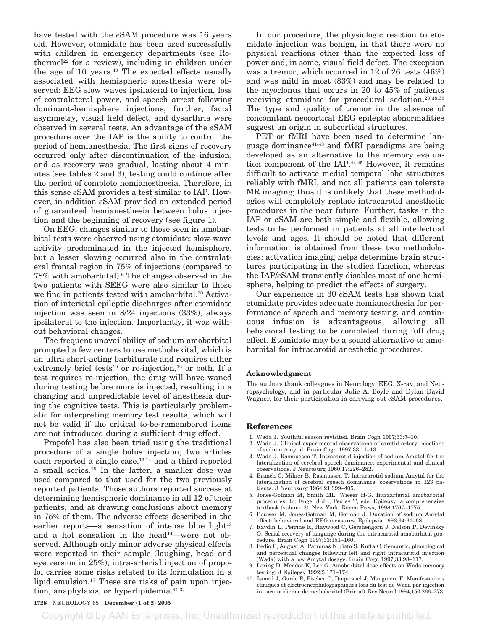have tested with the *e*SAM procedure was 16 years old. However, etomidate has been used successfully with children in emergency departments (see Rothermel<sup>22</sup> for a review), including in children under the age of 10 years.40 The expected effects usually associated with hemispheric anesthesia were observed: EEG slow waves ipsilateral to injection, loss of contralateral power, and speech arrest following dominant-hemisphere injections; further, facial asymmetry, visual field defect, and dysarthria were observed in several tests. An advantage of the *e*SAM procedure over the IAP is the ability to control the period of hemianesthesia. The first signs of recovery occurred only after discontinuation of the infusion, and as recovery was gradual, lasting about 4 minutes (see tables 2 and 3), testing could continue after the period of complete hemianesthesia. Therefore, in this sense *e*SAM provides a test similar to IAP. However, in addition *e*SAM provided an extended period of guaranteed hemianesthesia between bolus injection and the beginning of recovery (see figure 1).

On EEG, changes similar to those seen in amobarbital tests were observed using etomidate: slow-wave activity predominated in the injected hemisphere, but a lesser slowing occurred also in the contralateral frontal region in 75% of injections (compared to 78% with amobarbital).6 The changes observed in the two patients with SEEG were also similar to those we find in patients tested with amobarbital.<sup>30</sup> Activation of interictal epileptic discharges after etomidate injection was seen in 8/24 injections (33%), always ipsilateral to the injection. Importantly, it was without behavioral changes.

The frequent unavailability of sodium amobarbital prompted a few centers to use methohexital, which is an ultra short-acting barbiturate and requires either extremely brief tests<sup>10</sup> or re-injection,<sup>12</sup> or both. If a test requires re-injection, the drug will have waned during testing before more is injected, resulting in a changing and unpredictable level of anesthesia during the cognitive tests. This is particularly problematic for interpreting memory test results, which will not be valid if the critical to-be-remembered items are not introduced during a sufficient drug effect.

Propofol has also been tried using the traditional procedure of a single bolus injection; two articles each reported a single case,<sup>13,14</sup> and a third reported a small series.15 In the latter, a smaller dose was used compared to that used for the two previously reported patients. Those authors reported success at determining hemispheric dominance in all 12 of their patients, and at drawing conclusions about memory in 75% of them. The adverse effects described in the earlier reports—a sensation of intense blue light $13$ and a hot sensation in the head<sup>14</sup>—were not observed. Although only minor adverse physical effects were reported in their sample (laughing, head and eye version in 25%), intra-arterial injection of propofol carries some risks related to its formulation in a lipid emulsion.17 These are risks of pain upon injection, anaphylaxis, or hyperlipidemia.<sup>34-37</sup>

In our procedure, the physiologic reaction to etomidate injection was benign, in that there were no physical reactions other than the expected loss of power and, in some, visual field defect. The exception was a tremor, which occurred in 12 of 26 tests (46%) and was mild in most (83%) and may be related to the myoclonus that occurs in 20 to 45% of patients receiving etomidate for procedural sedation.20,38,39 The type and quality of tremor in the absence of concomitant neocortical EEG epileptic abnormalities suggest an origin in subcortical structures.

PET or fMRI have been used to determine language dominance41-43 and fMRI paradigms are being developed as an alternative to the memory evaluation component of the IAP.<sup>44,45</sup> However, it remains difficult to activate medial temporal lobe structures reliably with fMRI, and not all patients can tolerate MR imaging; thus it is unlikely that these methodologies will completely replace intracarotid anesthetic procedures in the near future. Further, tasks in the IAP or *e*SAM are both simple and flexible, allowing tests to be performed in patients at all intellectual levels and ages. It should be noted that different information is obtained from these two methodologies: activation imaging helps determine brain structures participating in the studied function, whereas the IAP/*e*SAM transiently disables most of one hemisphere, helping to predict the effects of surgery.

Our experience in 30 *e*SAM tests has shown that etomidate provides adequate hemianesthesia for performance of speech and memory testing, and continuous infusion is advantageous, allowing all behavioral testing to be completed during full drug effect. Etomidate may be a sound alternative to amobarbital for intracarotid anesthetic procedures.

## **Acknowledgment**

The authors thank colleagues in Neurology, EEG, X-ray, and Neuropsychology, and in particular Julie A. Boyle and Dylan David Wagner, for their participation in carrying out *e*SAM procedures.

### **References**

- 1. Wada J. Youthful season revisited. Brain Cogn 1997;33:7–10.
- 2. Wada J. Clinical experimental observations of carotid artery injections of sodium Amytal. Brain Cogn 1997;33:11–13.
- 3. Wada J, Rasmussen T. Intracarotid injection of sodium Amytal for the lateralization of cerebral speech dominance: experimental and clinical observations. J Neurosurg 1960;17:226–282.
- 4. Branch C, Milner B, Rasmussen T. Intracarotid sodium Amytal for the lateralization of cerebral speech dominance: observations in 123 patients. J Neurosurg 1964;21:399–405.
- 5. Jones-Gotman M, Smith ML, Wieser H-G. Intraarterial amobarbital procedures. In: Engel J Jr., Pedley T, eds. Epilepsy: a comprehensive textbook (volume 2). New York: Raven Press, 1998;1767–1775.
- 6. Bouwer M, Jones-Gotman M, Gotman J. Duration of sodium Amytal effect: behavioral and EEG measures. Epilepsia 1993;34:61–68.
- 7. Ravdin L, Perrine K, Haywood C, Gershengorn J, Nelson P, Devinsky O. Serial recovery of language during the intracarotid amobarbital procedure. Brain Cogn 1997;33:151–160.
- 8. Fedio P, August A, Patronas N, Sato S, Kufta C. Semantic, phonological and perceptual changes following left and right intracarotid injection (Wada) with a low Amytal dosage. Brain Cogn 1997;33:98–117.
- 9. Loring D, Meador K, Lee G. Amobarbital dose effects on Wada memory testing. J Epilepsy 1992;5:171–174.
- 10. Isnard J, Garde P, Fischer C, Duquesnel J, Mauguiere F. Manifestations cliniques et electroencephalographiques lors du test de Wada par injection intracarotidienne de methohexital (Brietal). Rev Neurol 1994;150:266–273.

# **1728** NEUROLOGY 65 **December (1 of 2) 2005**